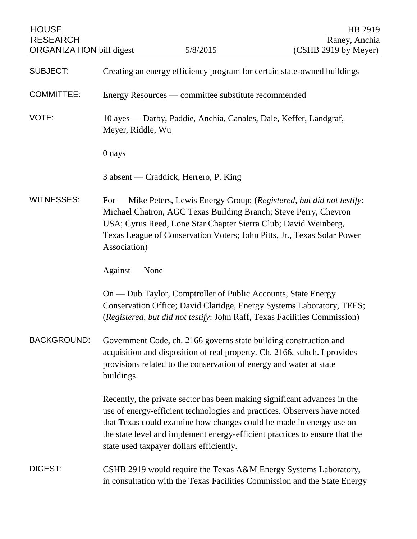| <b>HOUSE</b><br><b>RESEARCH</b><br><b>ORGANIZATION</b> bill digest |                                                                                        | 5/8/2015                                                                                                                                 | HB 2919<br>Raney, Anchia<br>(CSHB 2919 by Meyer)                                                                                                                                                                                                                                                           |
|--------------------------------------------------------------------|----------------------------------------------------------------------------------------|------------------------------------------------------------------------------------------------------------------------------------------|------------------------------------------------------------------------------------------------------------------------------------------------------------------------------------------------------------------------------------------------------------------------------------------------------------|
| <b>SUBJECT:</b>                                                    |                                                                                        |                                                                                                                                          | Creating an energy efficiency program for certain state-owned buildings                                                                                                                                                                                                                                    |
| <b>COMMITTEE:</b>                                                  | Energy Resources — committee substitute recommended                                    |                                                                                                                                          |                                                                                                                                                                                                                                                                                                            |
| VOTE:                                                              | 10 ayes — Darby, Paddie, Anchia, Canales, Dale, Keffer, Landgraf,<br>Meyer, Riddle, Wu |                                                                                                                                          |                                                                                                                                                                                                                                                                                                            |
|                                                                    | 0 nays                                                                                 |                                                                                                                                          |                                                                                                                                                                                                                                                                                                            |
|                                                                    |                                                                                        | 3 absent — Craddick, Herrero, P. King                                                                                                    |                                                                                                                                                                                                                                                                                                            |
| <b>WITNESSES:</b>                                                  | Association)                                                                           | USA; Cyrus Reed, Lone Star Chapter Sierra Club; David Weinberg,                                                                          | For — Mike Peters, Lewis Energy Group; (Registered, but did not testify:<br>Michael Chatron, AGC Texas Building Branch; Steve Perry, Chevron<br>Texas League of Conservation Voters; John Pitts, Jr., Texas Solar Power                                                                                    |
|                                                                    | Against — None                                                                         |                                                                                                                                          |                                                                                                                                                                                                                                                                                                            |
|                                                                    |                                                                                        | On — Dub Taylor, Comptroller of Public Accounts, State Energy                                                                            | Conservation Office; David Claridge, Energy Systems Laboratory, TEES;<br>(Registered, but did not testify: John Raff, Texas Facilities Commission)                                                                                                                                                         |
| <b>BACKGROUND:</b>                                                 | buildings.                                                                             | Government Code, ch. 2166 governs state building construction and<br>provisions related to the conservation of energy and water at state | acquisition and disposition of real property. Ch. 2166, subch. I provides                                                                                                                                                                                                                                  |
|                                                                    |                                                                                        | state used taxpayer dollars efficiently.                                                                                                 | Recently, the private sector has been making significant advances in the<br>use of energy-efficient technologies and practices. Observers have noted<br>that Texas could examine how changes could be made in energy use on<br>the state level and implement energy-efficient practices to ensure that the |
| <b>DIGEST:</b>                                                     |                                                                                        |                                                                                                                                          | CSHB 2919 would require the Texas A&M Energy Systems Laboratory,<br>in consultation with the Texas Facilities Commission and the State Energy                                                                                                                                                              |